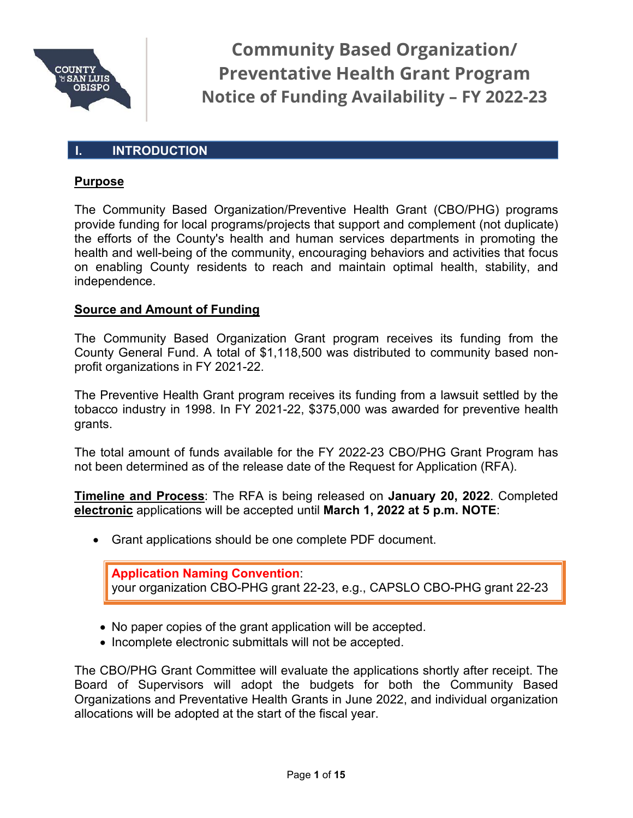

#### **I. INTRODUCTION**

#### **Purpose**

The Community Based Organization/Preventive Health Grant (CBO/PHG) programs provide funding for local programs/projects that support and complement (not duplicate) the efforts of the County's health and human services departments in promoting the health and well-being of the community, encouraging behaviors and activities that focus on enabling County residents to reach and maintain optimal health, stability, and independence.

#### **Source and Amount of Funding**

The Community Based Organization Grant program receives its funding from the County General Fund. A total of \$1,118,500 was distributed to community based nonprofit organizations in FY 2021-22.

The Preventive Health Grant program receives its funding from a lawsuit settled by the tobacco industry in 1998. In FY 2021-22, \$375,000 was awarded for preventive health grants.

The total amount of funds available for the FY 2022-23 CBO/PHG Grant Program has not been determined as of the release date of the Request for Application (RFA).

**Timeline and Process**: The RFA is being released on **January 20, 2022**. Completed **electronic** applications will be accepted until **March 1, 2022 at 5 p.m. NOTE**:

• Grant applications should be one complete PDF document.

**Application Naming Convention**: your organization CBO-PHG grant 22-23, e.g., CAPSLO CBO-PHG grant 22-23

- No paper copies of the grant application will be accepted.
- Incomplete electronic submittals will not be accepted.

The CBO/PHG Grant Committee will evaluate the applications shortly after receipt. The Board of Supervisors will adopt the budgets for both the Community Based Organizations and Preventative Health Grants in June 2022, and individual organization allocations will be adopted at the start of the fiscal year.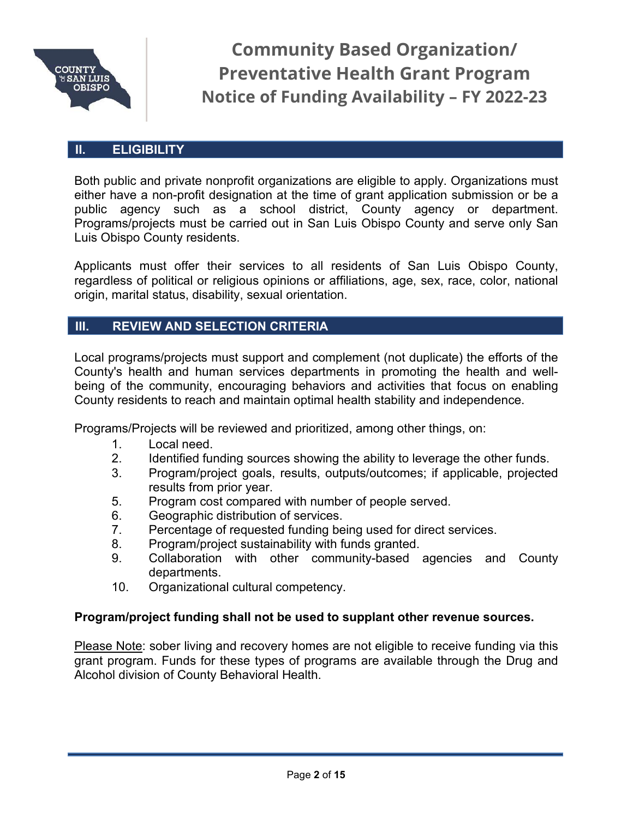

#### **II. ELIGIBILITY**

Both public and private nonprofit organizations are eligible to apply. Organizations must either have a non-profit designation at the time of grant application submission or be a public agency such as a school district, County agency or department. Programs/projects must be carried out in San Luis Obispo County and serve only San Luis Obispo County residents.

Applicants must offer their services to all residents of San Luis Obispo County, regardless of political or religious opinions or affiliations, age, sex, race, color, national origin, marital status, disability, sexual orientation.

#### **III. REVIEW AND SELECTION CRITERIA**

Local programs/projects must support and complement (not duplicate) the efforts of the County's health and human services departments in promoting the health and wellbeing of the community, encouraging behaviors and activities that focus on enabling County residents to reach and maintain optimal health stability and independence.

Programs/Projects will be reviewed and prioritized, among other things, on:

- 1. Local need.<br>2. Identified fur
- 2. Identified funding sources showing the ability to leverage the other funds.
- 3. Program/project goals, results, outputs/outcomes; if applicable, projected results from prior year.
- 5. Program cost compared with number of people served.
- 6. Geographic distribution of services.
- 7. Percentage of requested funding being used for direct services.
- 8. Program/project sustainability with funds granted.
- 9. Collaboration with other community-based agencies and County departments.
- 10. Organizational cultural competency.

#### **Program/project funding shall not be used to supplant other revenue sources.**

Please Note: sober living and recovery homes are not eligible to receive funding via this grant program. Funds for these types of programs are available through the Drug and Alcohol division of County Behavioral Health.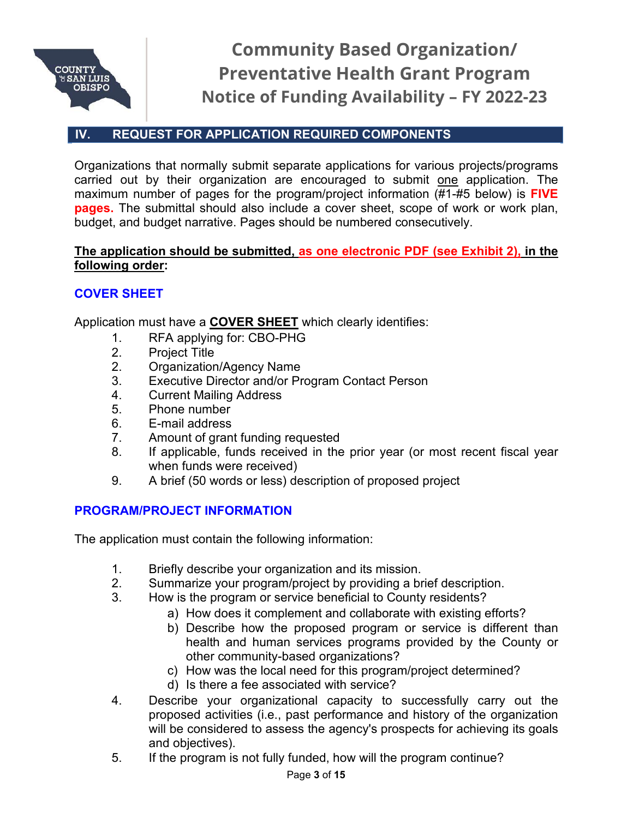

# **IV. REQUEST FOR APPLICATION REQUIRED COMPONENTS**

Organizations that normally submit separate applications for various projects/programs carried out by their organization are encouraged to submit one application. The maximum number of pages for the program/project information (#1-#5 below) is **FIVE pages.** The submittal should also include a cover sheet, scope of work or work plan, budget, and budget narrative. Pages should be numbered consecutively.

#### **The application should be submitted, as one electronic PDF (see Exhibit 2), in the following order:**

### **COVER SHEET**

Application must have a **COVER SHEET** which clearly identifies:

- 1. RFA applying for: CBO-PHG
- 2. Project Title
- 2. Organization/Agency Name
- 3. Executive Director and/or Program Contact Person
- 4. Current Mailing Address
- 5. Phone number
- 6. E-mail address
- 7. Amount of grant funding requested
- 8. If applicable, funds received in the prior year (or most recent fiscal year when funds were received)
- 9. A brief (50 words or less) description of proposed project

#### **PROGRAM/PROJECT INFORMATION**

The application must contain the following information:

- 1. Briefly describe your organization and its mission.<br>2. Summarize your program/project by providing a br
- Summarize your program/project by providing a brief description.
- 3. How is the program or service beneficial to County residents?
	- a) How does it complement and collaborate with existing efforts?
	- b) Describe how the proposed program or service is different than health and human services programs provided by the County or other community-based organizations?
	- c) How was the local need for this program/project determined?
	- d) Is there a fee associated with service?
- 4. Describe your organizational capacity to successfully carry out the proposed activities (i.e., past performance and history of the organization will be considered to assess the agency's prospects for achieving its goals and objectives).
- 5. If the program is not fully funded, how will the program continue?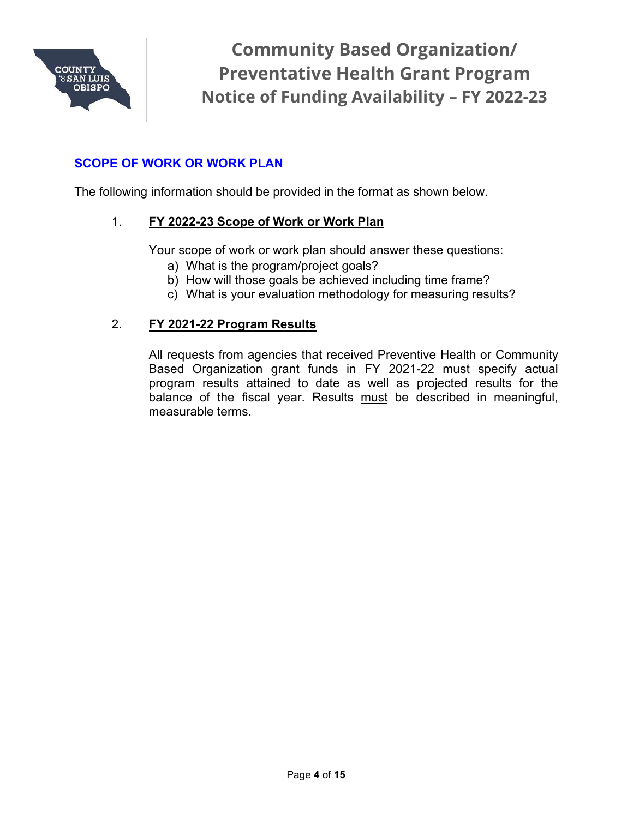

### **SCOPE OF WORK OR WORK PLAN**

The following information should be provided in the format as shown below.

#### 1. **FY 2022-23 Scope of Work or Work Plan**

Your scope of work or work plan should answer these questions:

- a) What is the program/project goals?
- b) How will those goals be achieved including time frame?
- c) What is your evaluation methodology for measuring results?

#### 2. **FY 2021-22 Program Results**

All requests from agencies that received Preventive Health or Community Based Organization grant funds in FY 2021-22 must specify actual program results attained to date as well as projected results for the balance of the fiscal year. Results must be described in meaningful, measurable terms.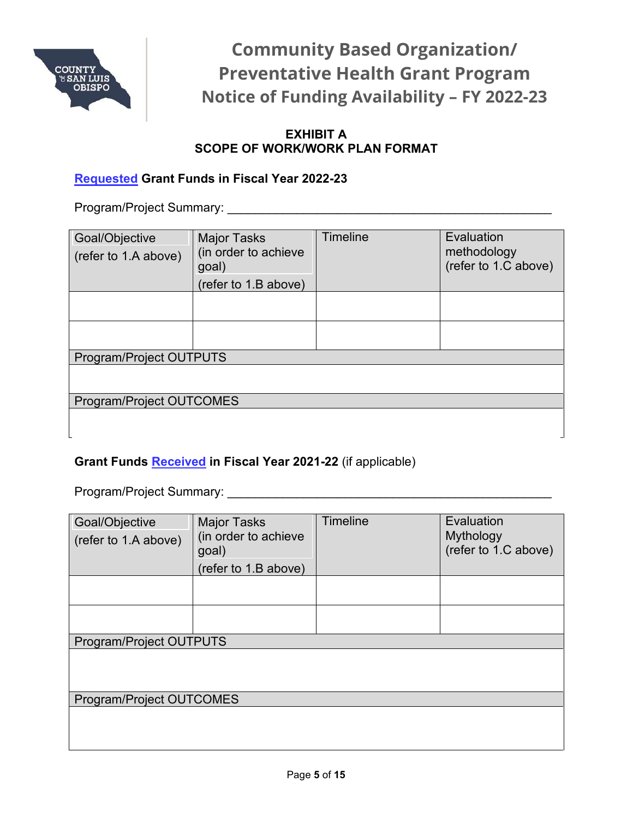

#### **EXHIBIT A SCOPE OF WORK/WORK PLAN FORMAT**

### **Requested Grant Funds in Fiscal Year 2022-23**

Program/Project Summary: \_\_\_\_\_\_\_\_\_\_\_\_\_\_\_\_\_\_\_\_\_\_\_\_\_\_\_\_\_\_\_\_\_\_\_\_\_\_\_\_\_\_\_\_\_\_\_

| Goal/Objective<br>(refer to 1.A above) | <b>Major Tasks</b><br>(in order to achieve<br>goal) | Timeline | Evaluation<br>methodology<br>(refer to 1.C above) |  |  |  |
|----------------------------------------|-----------------------------------------------------|----------|---------------------------------------------------|--|--|--|
|                                        | (refer to 1.B above)                                |          |                                                   |  |  |  |
|                                        |                                                     |          |                                                   |  |  |  |
|                                        |                                                     |          |                                                   |  |  |  |
| <b>Program/Project OUTPUTS</b>         |                                                     |          |                                                   |  |  |  |
|                                        |                                                     |          |                                                   |  |  |  |
| Program/Project OUTCOMES               |                                                     |          |                                                   |  |  |  |
|                                        |                                                     |          |                                                   |  |  |  |

#### **Grant Funds Received in Fiscal Year 2021-22** (if applicable)

Program/Project Summary: \_\_\_\_\_\_\_\_\_\_\_\_\_\_\_\_\_\_\_\_\_\_\_\_\_\_\_\_\_\_\_\_\_\_\_\_\_\_\_\_\_\_\_\_\_\_\_

| Goal/Objective<br>(refer to 1.A above) | <b>Major Tasks</b><br>(in order to achieve<br>goal)<br>(refer to 1.B above) | <b>Timeline</b> | Evaluation<br>Mythology<br>(refer to 1.C above) |
|----------------------------------------|-----------------------------------------------------------------------------|-----------------|-------------------------------------------------|
|                                        |                                                                             |                 |                                                 |
|                                        |                                                                             |                 |                                                 |
| Program/Project OUTPUTS                |                                                                             |                 |                                                 |
|                                        |                                                                             |                 |                                                 |
| Program/Project OUTCOMES               |                                                                             |                 |                                                 |
|                                        |                                                                             |                 |                                                 |

 $\rfloor$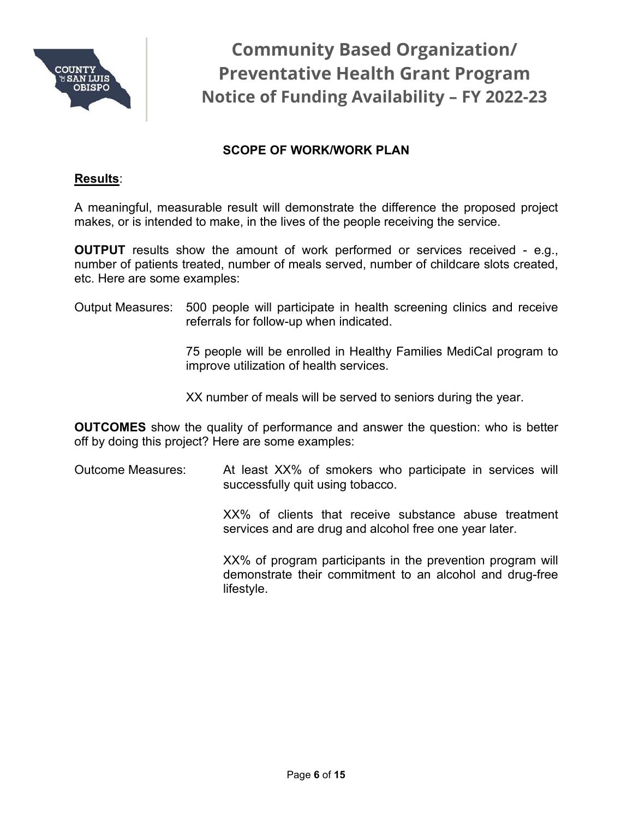

### **SCOPE OF WORK/WORK PLAN**

#### **Results**:

A meaningful, measurable result will demonstrate the difference the proposed project makes, or is intended to make, in the lives of the people receiving the service.

**OUTPUT** results show the amount of work performed or services received - e.g., number of patients treated, number of meals served, number of childcare slots created, etc. Here are some examples:

Output Measures: 500 people will participate in health screening clinics and receive referrals for follow-up when indicated.

> 75 people will be enrolled in Healthy Families MediCal program to improve utilization of health services.

XX number of meals will be served to seniors during the year.

**OUTCOMES** show the quality of performance and answer the question: who is better off by doing this project? Here are some examples:

Outcome Measures: At least XX% of smokers who participate in services will successfully quit using tobacco.

> XX% of clients that receive substance abuse treatment services and are drug and alcohol free one year later.

> XX% of program participants in the prevention program will demonstrate their commitment to an alcohol and drug-free lifestyle.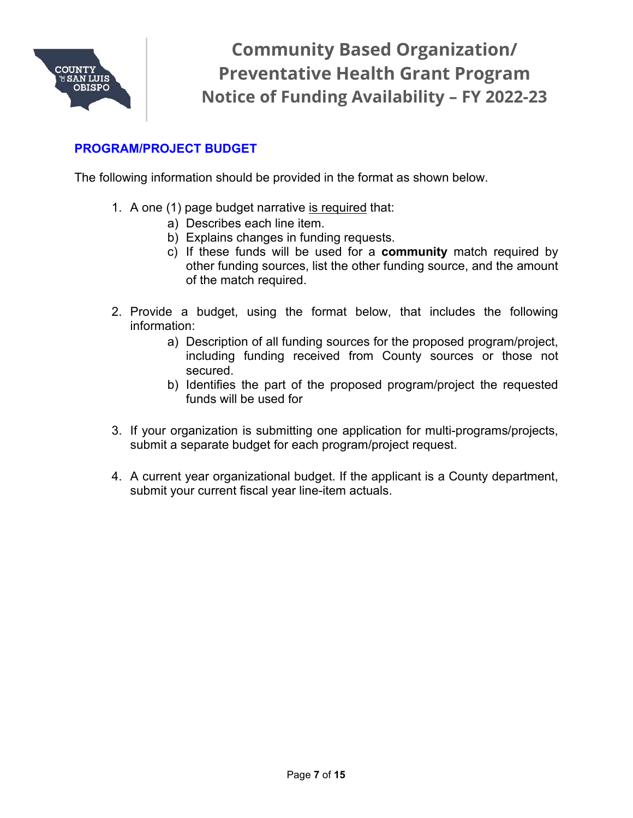

#### **PROGRAM/PROJECT BUDGET**

The following information should be provided in the format as shown below.

- 1. A one (1) page budget narrative is required that:
	- a) Describes each line item.
	- b) Explains changes in funding requests.
	- c) If these funds will be used for a **community** match required by other funding sources, list the other funding source, and the amount of the match required.
- 2. Provide a budget, using the format below, that includes the following information:
	- a) Description of all funding sources for the proposed program/project, including funding received from County sources or those not secured.
	- b) Identifies the part of the proposed program/project the requested funds will be used for
- 3. If your organization is submitting one application for multi-programs/projects, submit a separate budget for each program/project request.
- 4. A current year organizational budget. If the applicant is a County department, submit your current fiscal year line-item actuals.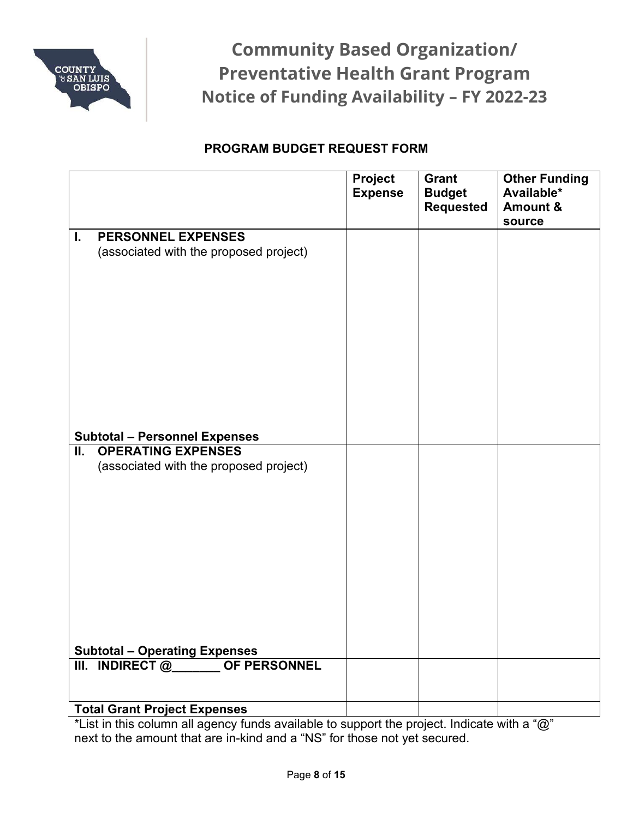

## **PROGRAM BUDGET REQUEST FORM**

|                                                                           | <b>Project</b><br><b>Expense</b> | <b>Grant</b><br><b>Budget</b><br><b>Requested</b> | <b>Other Funding</b><br>Available*<br><b>Amount &amp;</b> |
|---------------------------------------------------------------------------|----------------------------------|---------------------------------------------------|-----------------------------------------------------------|
|                                                                           |                                  |                                                   | source                                                    |
| <b>PERSONNEL EXPENSES</b><br>L.<br>(associated with the proposed project) |                                  |                                                   |                                                           |
| <b>Subtotal - Personnel Expenses</b>                                      |                                  |                                                   |                                                           |
| <b>OPERATING EXPENSES</b><br>Ш.                                           |                                  |                                                   |                                                           |
| (associated with the proposed project)                                    |                                  |                                                   |                                                           |
| Subtotal - Operating Expenses<br>III. INDIRECT @_______ OF PERSONNEL      |                                  |                                                   |                                                           |
|                                                                           |                                  |                                                   |                                                           |
| <b>Total Grant Project Expenses</b>                                       |                                  |                                                   |                                                           |

\*List in this column all agency funds available to support the project. Indicate with a "@" next to the amount that are in-kind and a "NS" for those not yet secured.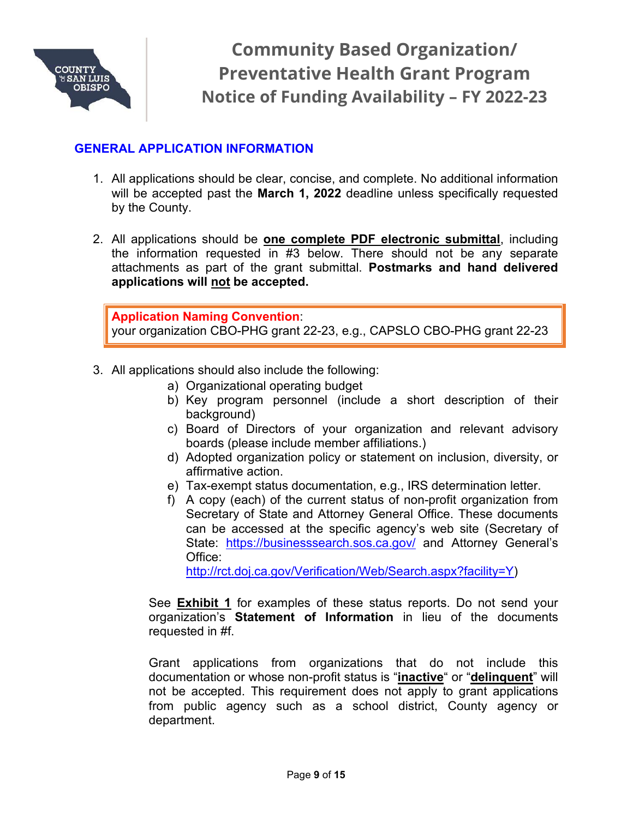

#### **GENERAL APPLICATION INFORMATION**

- 1. All applications should be clear, concise, and complete. No additional information will be accepted past the **March 1, 2022** deadline unless specifically requested by the County.
- 2. All applications should be **one complete PDF electronic submittal**, including the information requested in #3 below. There should not be any separate attachments as part of the grant submittal. **Postmarks and hand delivered applications will not be accepted.**

**Application Naming Convention**: your organization CBO-PHG grant 22-23, e.g., CAPSLO CBO-PHG grant 22-23

- 3. All applications should also include the following:
	- a) Organizational operating budget
	- b) Key program personnel (include a short description of their background)
	- c) Board of Directors of your organization and relevant advisory boards (please include member affiliations.)
	- d) Adopted organization policy or statement on inclusion, diversity, or affirmative action.
	- e) Tax-exempt status documentation, e.g., IRS determination letter.
	- f) A copy (each) of the current status of non-profit organization from Secretary of State and Attorney General Office. These documents can be accessed at the specific agency's web site (Secretary of State: [https://businesssearch.sos.ca.gov/](https://businesssearch.sos.ca.gov/a) and Attorney General's Office:

[http://rct.doj.ca.gov/Verification/Web/Search.aspx?facility=Y\)](http://rct.doj.ca.gov/Verification/Web/Search.aspx?facility=Y)

See **Exhibit 1** for examples of these status reports. Do not send your organization's **Statement of Information** in lieu of the documents requested in #f.

Grant applications from organizations that do not include this documentation or whose non-profit status is "**inactive**" or "**delinquent**" will not be accepted. This requirement does not apply to grant applications from public agency such as a school district, County agency or department.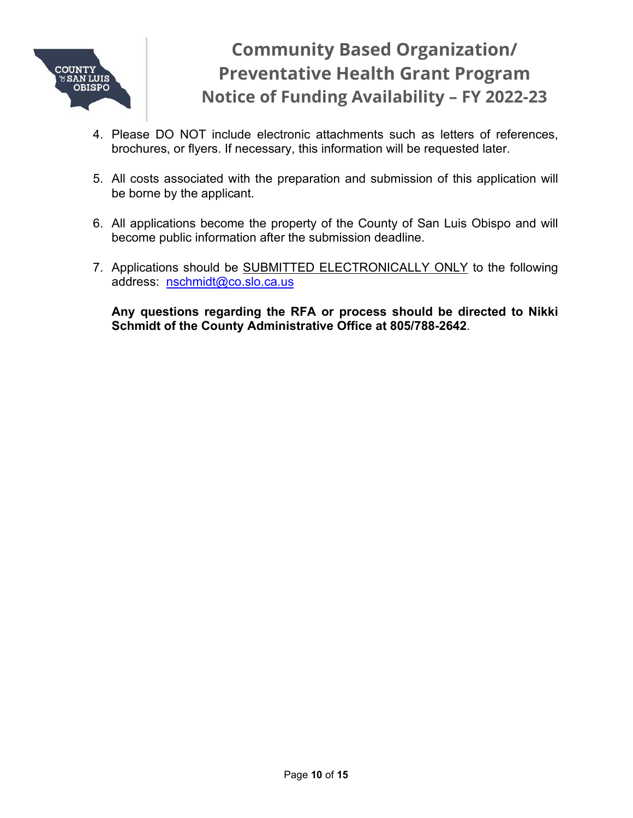

- 4. Please DO NOT include electronic attachments such as letters of references, brochures, or flyers. If necessary, this information will be requested later.
- 5. All costs associated with the preparation and submission of this application will be borne by the applicant.
- 6. All applications become the property of the County of San Luis Obispo and will become public information after the submission deadline.
- 7. Applications should be **SUBMITTED ELECTRONICALLY ONLY** to the following address: [nschmidt@co.slo.ca.us](mailto:nschmidt@co.slo.ca.us)

**Any questions regarding the RFA or process should be directed to Nikki Schmidt of the County Administrative Office at 805/788-2642**.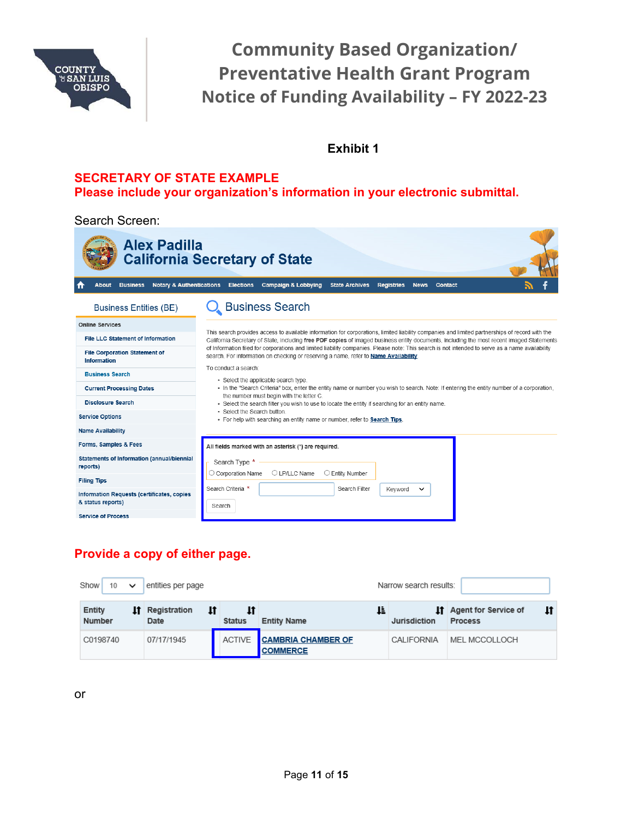

#### **Exhibit 1**

#### **SECRETARY OF STATE EXAMPLE Please include your organization's information in your electronic submittal.**

Search Screen:

| Alex Padilla                                                    | <b>California Secretary of State</b>                                                                                                                                                                                                                                                        |
|-----------------------------------------------------------------|---------------------------------------------------------------------------------------------------------------------------------------------------------------------------------------------------------------------------------------------------------------------------------------------|
| <b>Notary &amp; Authentications</b><br><b>Business</b><br>About | <b>Campaign &amp; Lobbying</b><br><b>Elections</b><br><b>State Archives</b><br><b>Registries</b><br><b>Contact</b><br><b>News</b>                                                                                                                                                           |
| <b>Business Entities (BE)</b>                                   | <b>Business Search</b>                                                                                                                                                                                                                                                                      |
| <b>Online Services</b>                                          |                                                                                                                                                                                                                                                                                             |
| File LLC Statement of Information                               | This search provides access to available information for corporations, limited liability companies and limited partnerships of record with the<br>California Secretary of State, including free PDF copies of imaged business entity documents, including the most recent imaged Statements |
| <b>File Corporation Statement of</b><br>Information             | of Information filed for corporations and limited liability companies. Please note: This search is not intended to serve as a name availability<br>search. For information on checking or reserving a name, refer to Name Availability.                                                     |
| <b>Business Search</b>                                          | To conduct a search:<br>• Select the applicable search type.                                                                                                                                                                                                                                |
| <b>Current Processing Dates</b>                                 | • In the "Search Criteria" box, enter the entity name or number you wish to search. Note: If entering the entity number of a corporation,                                                                                                                                                   |
| <b>Disclosure Search</b>                                        | the number must begin with the letter C.<br>- Select the search filter you wish to use to locate the entity if searching for an entity name.                                                                                                                                                |
| <b>Service Options</b>                                          | · Select the Search button.<br>. For help with searching an entity name or number, refer to Search Tips.                                                                                                                                                                                    |
| <b>Name Availability</b>                                        |                                                                                                                                                                                                                                                                                             |
| Forms, Samples & Fees                                           | All fields marked with an asterisk (*) are required.                                                                                                                                                                                                                                        |
| Statements of Information (annual/biennial<br>reports)          | Search Type *<br>O LP/LLC Name<br>○ Entity Number<br>○ Corporation Name                                                                                                                                                                                                                     |
| <b>Filing Tips</b>                                              |                                                                                                                                                                                                                                                                                             |
| Information Requests (certificates, copies<br>& status reports) | Search Criteria *<br>Search Filter<br>Keyword<br>$\check{ }$<br>Search                                                                                                                                                                                                                      |
| <b>Service of Process</b>                                       |                                                                                                                                                                                                                                                                                             |

# **Provide a copy of either page.**

| Show<br>10 <sup>1</sup><br>$\checkmark$ | entities per page          |                     |                                              | Narrow search results: |                                                        |
|-----------------------------------------|----------------------------|---------------------|----------------------------------------------|------------------------|--------------------------------------------------------|
| Entity<br>ı۴<br>Number                  | Registration<br>١t<br>Date | 11<br><b>Status</b> | Ŀ<br><b>Entity Name</b>                      | Jurisdiction           | lt<br><b>If</b> Agent for Service of<br><b>Process</b> |
| C0198740                                | 07/17/1945                 | <b>ACTIVE</b>       | <b>CAMBRIA CHAMBER OF</b><br><b>COMMERCE</b> | CALIFORNIA             | MEL MCCOLLOCH                                          |

or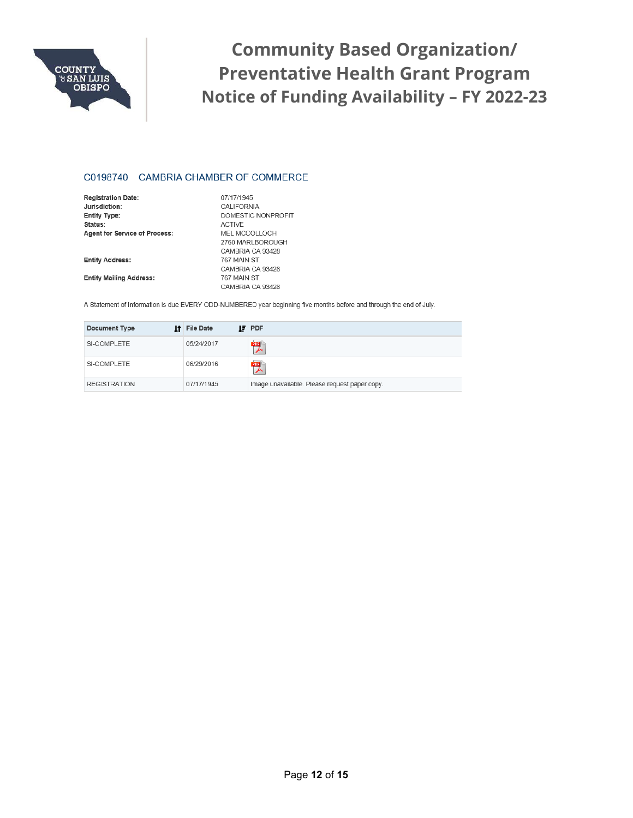

#### C0198740 CAMBRIA CHAMBER OF COMMERCE

| <b>Registration Date:</b>            | 07/17/1945         |
|--------------------------------------|--------------------|
| Jurisdiction:                        | CALIFORNIA         |
| Entity Type:                         | DOMESTIC NONPROFIT |
| Status:                              | <b>ACTIVE</b>      |
| <b>Agent for Service of Process:</b> | MEL MCCOLLOCH      |
|                                      | 2760 MARI BOROUGH  |
|                                      | CAMBRIA CA 93428   |
| <b>Entity Address:</b>               | 767 MAIN ST        |
|                                      | CAMBRIA CA 93428   |
| <b>Entity Mailing Address:</b>       | 767 MAIN ST.       |
|                                      | CAMBRIA CA 93428   |

A Statement of Information is due EVERY ODD-NUMBERED year beginning five months before and through the end of July.

| Document Type       | <b>If</b> File Date | <b>IF</b> PDF                                 |
|---------------------|---------------------|-----------------------------------------------|
| SI-COMPLETE         | 05/24/2017          | 喫                                             |
| SI-COMPLETE         | 06/29/2016          | 喫                                             |
| <b>REGISTRATION</b> | 07/17/1945          | Image unavailable. Please request paper copy. |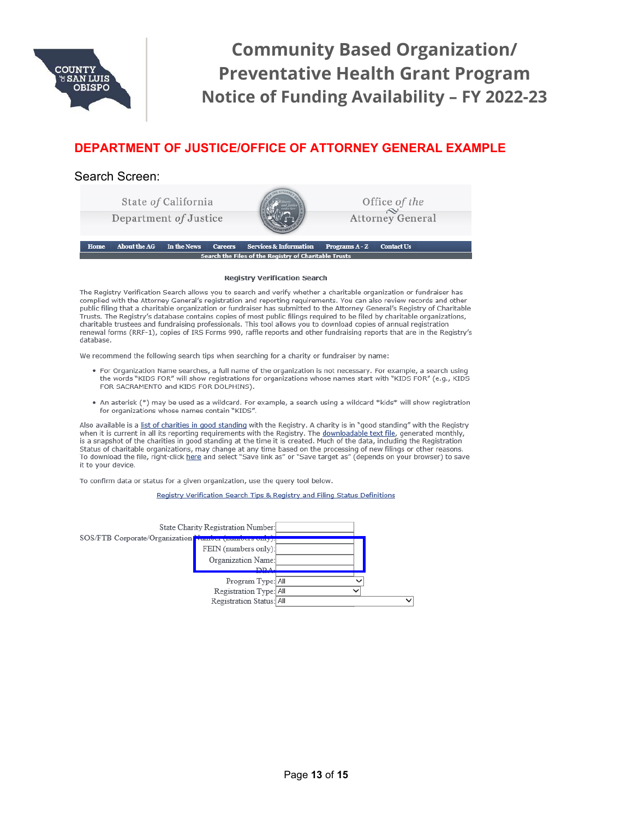

#### **DEPARTMENT OF JUSTICE/OFFICE OF ATTORNEY GENERAL EXAMPLE**

#### Search Screen:



#### **Registry Verification Search**

The Registry Verification Search allows you to search and verify whether a charitable organization or fundraiser has complied with the Attorney General's registration and reporting requirements. You can also review records and other public filing that a charitable organization or fundraiser has submitted to the Attorney General's Registry of Charitable Trusts. The Registry's database contains copies of most public filings required to be filed by charitable organizations, charitable trustees and fundraising professionals. This tool allows you to download copies of annual registration renewal forms (RRF-1), copies of IRS Forms 990, raffle reports and other fundraising reports that are in the Registry's database.

We recommend the following search tips when searching for a charity or fundraiser by name:

- . For Organization Name searches, a full name of the organization is not necessary. For example, a search using the words "KIDS FOR" will show registrations for organizations whose names start with "KIDS FOR" (e.g., KIDS FOR SACRAMENTO and KIDS FOR DOLPHINS).
- An asterisk (\*) may be used as a wildcard. For example, a search using a wildcard \*kids\* will show registration for organizations whose names contain "KIDS".

Also available is a list of charities in good standing with the Registry. A charity is in "good standing" with the Registry when it is current in all its reporting requirements with the Registry. The downloadable text file, generated monthly, is a snapshot of the charities in good standing at the time it is created. Much of the data, including the Registration Status of charitable organizations, may change at any time based on the processing of new filings or other reasons.<br>To download the file, right-click here and select "Save link as" or "Save target as" (depends on your brow it to your device.

To confirm data or status for a given organization, use the query tool below.

Registry Verification Search Tips & Registry and Filing Status Definitions

|                                                       | State Charity Registration Number: |              |              |
|-------------------------------------------------------|------------------------------------|--------------|--------------|
| SOS/FTB Corporate/Organization Number (numbers only). |                                    |              |              |
|                                                       | FEIN (numbers only):               |              |              |
|                                                       | Organization Name:                 |              |              |
|                                                       | <b>DDA</b>                         |              |              |
|                                                       | Program Type: All                  |              |              |
|                                                       | Registration Type: All             | $\checkmark$ |              |
|                                                       | Registration Status: All           |              | $\checkmark$ |
|                                                       |                                    |              |              |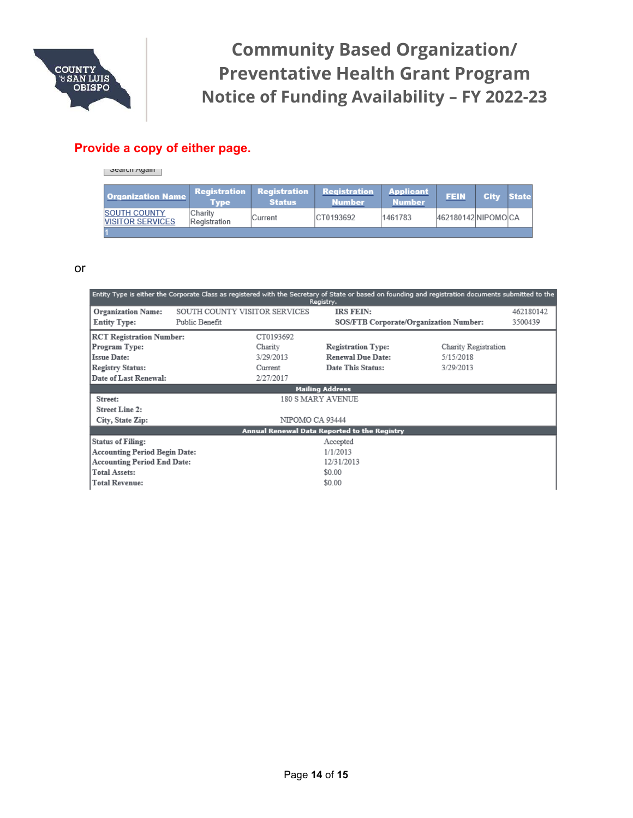

#### **Provide a copy of either page.**

 $\overline{\phantom{a}}$  oralull Ayalli

| <b>Organization Name</b>                        | Type                           | <b>Status</b>  | Registration Registration Registration Applicant<br><b>Number</b> | Number  | <b>FEIN</b>        | City State |  |
|-------------------------------------------------|--------------------------------|----------------|-------------------------------------------------------------------|---------|--------------------|------------|--|
| <b>ISOUTH COUNTY</b><br><b>NISITOR SERVICES</b> | <b>Charity</b><br>Registration | <b>Current</b> | ICT0193692                                                        | 1461783 | 462180142 NIPOMOCA |            |  |
|                                                 |                                |                |                                                                   |         |                    |            |  |

#### or

| Entity Type is either the Corporate Class as registered with the Secretary of State or based on founding and registration documents submitted to the<br>Registry. |                                                 |                                                           |                                                                            |                                                |                      |  |
|-------------------------------------------------------------------------------------------------------------------------------------------------------------------|-------------------------------------------------|-----------------------------------------------------------|----------------------------------------------------------------------------|------------------------------------------------|----------------------|--|
| <b>Organization Name:</b><br><b>Entity Type:</b>                                                                                                                  | SOUTH COUNTY VISITOR SERVICES<br>Public Benefit |                                                           | <b>IRS FEIN:</b><br><b>SOS/FTB Corporate/Organization Number:</b>          |                                                | 462180142<br>3500439 |  |
| <b>RCT Registration Number:</b><br>Program Type:<br><b>Issue Date:</b><br>Registry Status:<br>Date of Last Renewal:                                               |                                                 | CT0193692<br>Charity<br>3/29/2013<br>Current<br>2/27/2017 | <b>Registration Type:</b><br><b>Renewal Due Date:</b><br>Date This Status: | Charity Registration<br>5/15/2018<br>3/29/2013 |                      |  |
|                                                                                                                                                                   |                                                 |                                                           | <b>Mailing Address</b>                                                     |                                                |                      |  |
| Street:                                                                                                                                                           |                                                 | 180 S MARY AVENUE                                         |                                                                            |                                                |                      |  |
| Street Line 2:<br>City, State Zip:                                                                                                                                |                                                 | NIPOMO CA 93444                                           |                                                                            |                                                |                      |  |
|                                                                                                                                                                   |                                                 |                                                           | Annual Renewal Data Reported to the Registry                               |                                                |                      |  |
| <b>Status of Filing:</b>                                                                                                                                          |                                                 |                                                           | Accepted                                                                   |                                                |                      |  |
| Accounting Period Begin Date:                                                                                                                                     |                                                 |                                                           | 1/1/2013                                                                   |                                                |                      |  |
| <b>Accounting Period End Date:</b>                                                                                                                                |                                                 |                                                           | 12/31/2013                                                                 |                                                |                      |  |
| <b>Total Assets:</b>                                                                                                                                              |                                                 |                                                           | \$0.00                                                                     |                                                |                      |  |
| Total Revenue:                                                                                                                                                    |                                                 |                                                           | \$0.00                                                                     |                                                |                      |  |